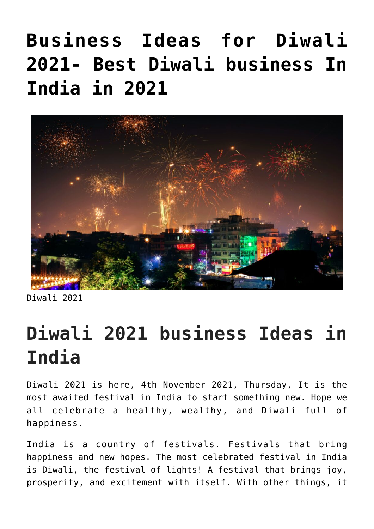# **[Business Ideas for Diwali](https://inbusinessideas.com/business-ideas-for-diwali-2021/) [2021- Best Diwali business In](https://inbusinessideas.com/business-ideas-for-diwali-2021/) [India in 2021](https://inbusinessideas.com/business-ideas-for-diwali-2021/)**



Diwali 2021

## **Diwali 2021 business Ideas in India**

Diwali 2021 is here, 4th November 2021, Thursday, It is the most awaited festival in India to start something new. Hope we all celebrate a healthy, wealthy, and Diwali full of happiness.

India is a country of festivals. Festivals that bring happiness and new hopes. The most celebrated festival in India is Diwali, the festival of lights! A festival that brings joy, prosperity, and excitement with itself. With other things, it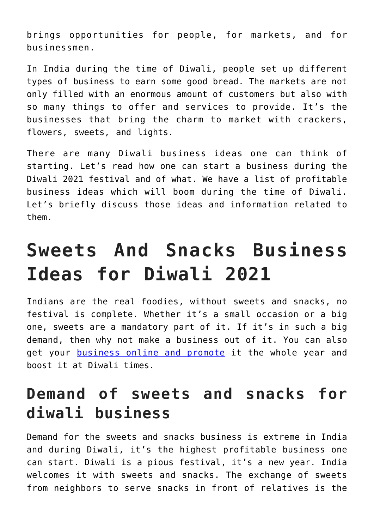brings opportunities for people, for markets, and for businessmen.

In India during the time of Diwali, people set up different types of business to earn some good bread. The markets are not only filled with an enormous amount of customers but also with so many things to offer and services to provide. It's the businesses that bring the charm to market with crackers, flowers, sweets, and lights.

There are many Diwali business ideas one can think of starting. Let's read how one can start a business during the Diwali 2021 festival and of what. We have a list of profitable business ideas which will boom during the time of Diwali. Let's briefly discuss those ideas and information related to them.

## **Sweets And Snacks Business Ideas for Diwali 2021**

Indians are the real foodies, without sweets and snacks, no festival is complete. Whether it's a small occasion or a big one, sweets are a mandatory part of it. If it's in such a big demand, then why not make a business out of it. You can also get your [business online and promote](https://inbusinessideas.com/business-with-zomato-and-swiggy/) it the whole year and boost it at Diwali times.

#### **Demand of sweets and snacks for diwali business**

Demand for the sweets and snacks business is extreme in India and during Diwali, it's the highest profitable business one can start. Diwali is a pious festival, it's a new year. India welcomes it with sweets and snacks. The exchange of sweets from neighbors to serve snacks in front of relatives is the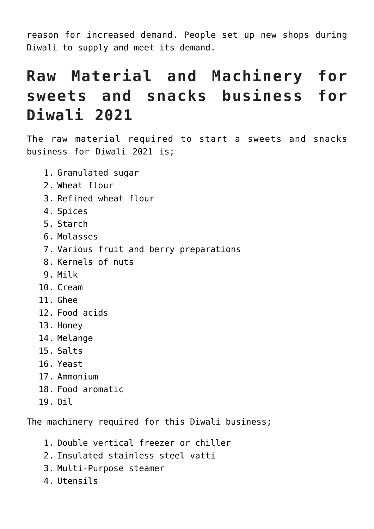reason for increased demand. People set up new shops during Diwali to supply and meet its demand.

## **Raw Material and Machinery for sweets and snacks business for Diwali 2021**

The raw material required to start a sweets and snacks business for Diwali 2021 is;

- 1. Granulated sugar
- 2. Wheat flour
- 3. Refined wheat flour
- 4. Spices
- 5. Starch
- 6. Molasses
- 7. Various fruit and berry preparations
- 8. Kernels of nuts
- 9. Milk
- 10. Cream
- 11. Ghee
- 12. Food acids
- 13. Honey
- 14. Melange
- 15. Salts
- 16. Yeast
- 17. Ammonium
- 18. Food aromatic
- 19. Oil

The machinery required for this Diwali business;

- 1. Double vertical freezer or chiller
- 2. Insulated stainless steel vatti
- 3. Multi-Purpose steamer
- 4. Utensils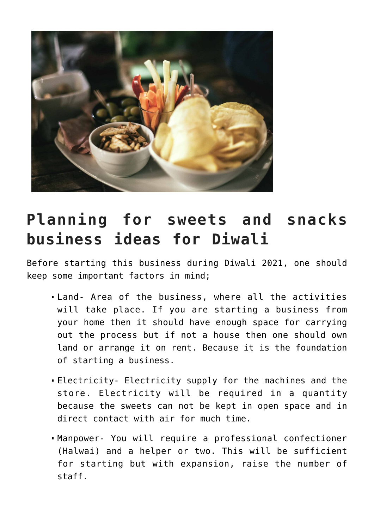

## **Planning for sweets and snacks business ideas for Diwali**

Before starting this business during Diwali 2021, one should keep some important factors in mind;

- Land- Area of the business, where all the activities will take place. If you are starting a business from your home then it should have enough space for carrying out the process but if not a house then one should own land or arrange it on rent. Because it is the foundation of starting a business.
- Electricity- Electricity supply for the machines and the store. Electricity will be required in a quantity because the sweets can not be kept in open space and in direct contact with air for much time.
- Manpower- You will require a professional confectioner (Halwai) and a helper or two. This will be sufficient for starting but with expansion, raise the number of staff.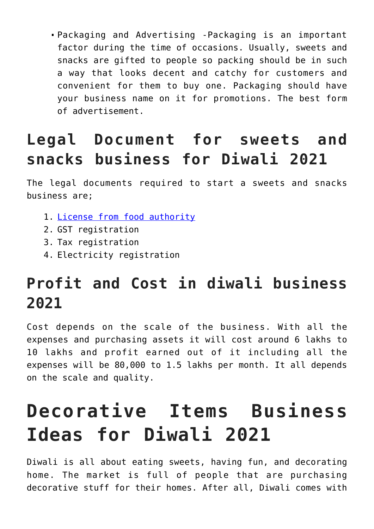Packaging and Advertising -Packaging is an important factor during the time of occasions. Usually, sweets and snacks are gifted to people so packing should be in such a way that looks decent and catchy for customers and convenient for them to buy one. Packaging should have your business name on it for promotions. The best form of advertisement.

## **Legal Document for sweets and snacks business for Diwali 2021**

The legal documents required to start a sweets and snacks business are;

- 1. [License from food authority](https://fssai.gov.in/cms/registration.php)
- 2. GST registration
- 3. Tax registration
- 4. Electricity registration

## **Profit and Cost in diwali business 2021**

Cost depends on the scale of the business. With all the expenses and purchasing assets it will cost around 6 lakhs to 10 lakhs and profit earned out of it including all the expenses will be 80,000 to 1.5 lakhs per month. It all depends on the scale and quality.

# **Decorative Items Business Ideas for Diwali 2021**

Diwali is all about eating sweets, having fun, and decorating home. The market is full of people that are purchasing decorative stuff for their homes. After all, Diwali comes with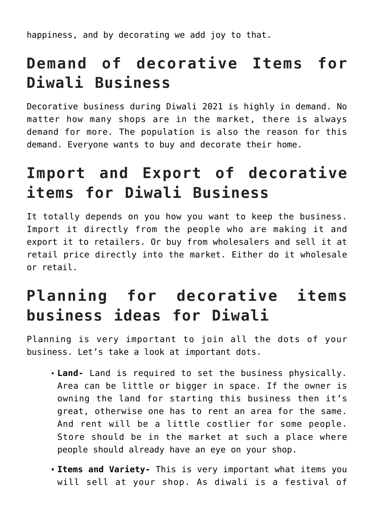happiness, and by decorating we add joy to that.

## **Demand of decorative Items for Diwali Business**

Decorative business during Diwali 2021 is highly in demand. No matter how many shops are in the market, there is always demand for more. The population is also the reason for this demand. Everyone wants to buy and decorate their home.

## **Import and Export of decorative items for Diwali Business**

It totally depends on you how you want to keep the business. Import it directly from the people who are making it and export it to retailers. Or buy from wholesalers and sell it at retail price directly into the market. Either do it wholesale or retail.

## **Planning for decorative items business ideas for Diwali**

Planning is very important to join all the dots of your business. Let's take a look at important dots.

- **Land-** Land is required to set the business physically. Area can be little or bigger in space. If the owner is owning the land for starting this business then it's great, otherwise one has to rent an area for the same. And rent will be a little costlier for some people. Store should be in the market at such a place where people should already have an eye on your shop.
- **Items and Variety-** This is very important what items you will sell at your shop. As diwali is a festival of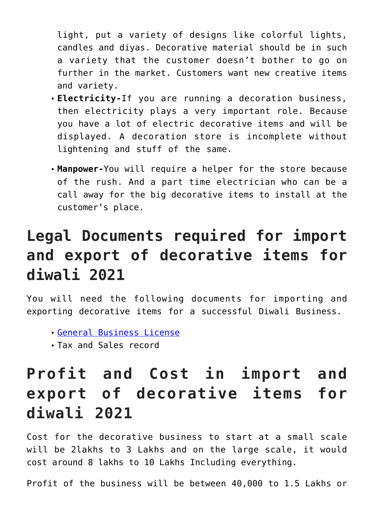light, put a variety of designs like colorful lights, candles and diyas. Decorative material should be in such a variety that the customer doesn't bother to go on further in the market. Customers want new creative items and variety.

- **Electricity-**If you are running a decoration business, then electricity plays a very important role. Because you have a lot of electric decorative items and will be displayed. A decoration store is incomplete without lightening and stuff of the same.
- **Manpower-**You will require a helper for the store because of the rush. And a part time electrician who can be a call away for the big decorative items to install at the customer's place.

## **Legal Documents required for import and export of decorative items for diwali 2021**

You will need the following documents for importing and exporting decorative items for a successful Diwali Business.

- [General Business License](https://www.indiafilings.com/learn/licenses-required-business/)
- Tax and Sales record

## **Profit and Cost in import and export of decorative items for diwali 2021**

Cost for the decorative business to start at a small scale will be 2lakhs to 3 Lakhs and on the large scale, it would cost around 8 lakhs to 10 Lakhs Including everything.

Profit of the business will be between 40,000 to 1.5 Lakhs or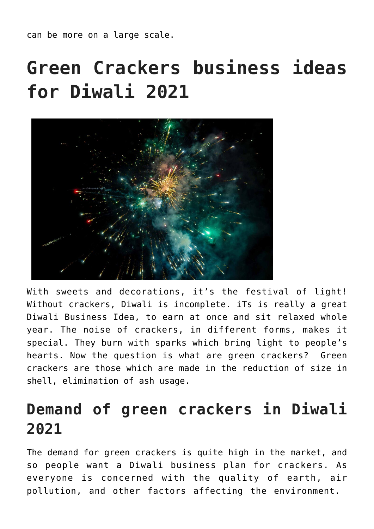can be more on a large scale.

# **Green Crackers business ideas for Diwali 2021**



With sweets and decorations, it's the festival of light! Without crackers, Diwali is incomplete. iTs is really a great Diwali Business Idea, to earn at once and sit relaxed whole year. The noise of crackers, in different forms, makes it special. They burn with sparks which bring light to people's hearts. Now the question is what are green crackers? Green crackers are those which are made in the reduction of size in shell, elimination of ash usage.

#### **Demand of green crackers in Diwali 2021**

The demand for green crackers is quite high in the market, and so people want a Diwali business plan for crackers. As everyone is concerned with the quality of earth, air pollution, and other factors affecting the environment.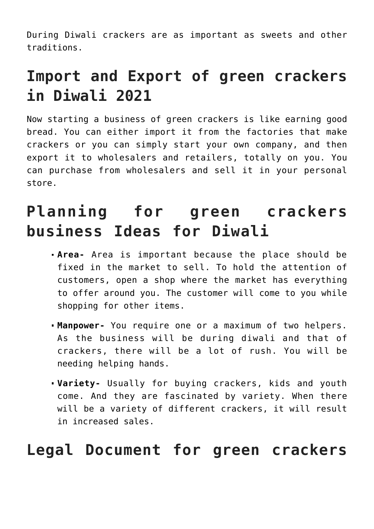During Diwali crackers are as important as sweets and other traditions.

## **Import and Export of green crackers in Diwali 2021**

Now starting a business of green crackers is like earning good bread. You can either import it from the factories that make crackers or you can simply start your own company, and then export it to wholesalers and retailers, totally on you. You can purchase from wholesalers and sell it in your personal store.

## **Planning for green crackers business Ideas for Diwali**

- **Area-** Area is important because the place should be fixed in the market to sell. To hold the attention of customers, open a shop where the market has everything to offer around you. The customer will come to you while shopping for other items.
- **Manpower-** You require one or a maximum of two helpers. As the business will be during diwali and that of crackers, there will be a lot of rush. You will be needing helping hands.
- **Variety-** Usually for buying crackers, kids and youth come. And they are fascinated by variety. When there will be a variety of different crackers, it will result in increased sales.

#### **Legal Document for green crackers**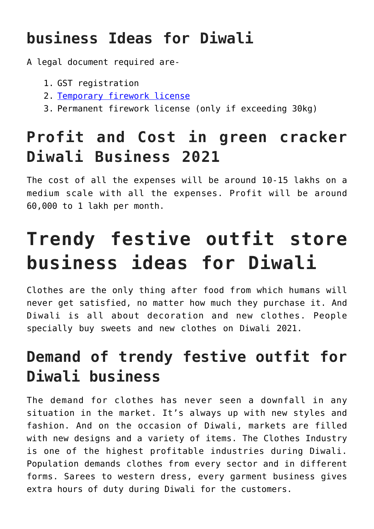## **business Ideas for Diwali**

A legal document required are-

- 1. GST registration
- 2. [Temporary firework license](https://cleartax.in/s/temporary-firecracker-license)
- 3. Permanent firework license (only if exceeding 30kg)

## **Profit and Cost in green cracker Diwali Business 2021**

The cost of all the expenses will be around 10-15 lakhs on a medium scale with all the expenses. Profit will be around 60,000 to 1 lakh per month.

# **Trendy festive outfit store business ideas for Diwali**

Clothes are the only thing after food from which humans will never get satisfied, no matter how much they purchase it. And Diwali is all about decoration and new clothes. People specially buy sweets and new clothes on Diwali 2021.

## **Demand of trendy festive outfit for Diwali business**

The demand for clothes has never seen a downfall in any situation in the market. It's always up with new styles and fashion. And on the occasion of Diwali, markets are filled with new designs and a variety of items. The Clothes Industry is one of the highest profitable industries during Diwali. Population demands clothes from every sector and in different forms. Sarees to western dress, every garment business gives extra hours of duty during Diwali for the customers.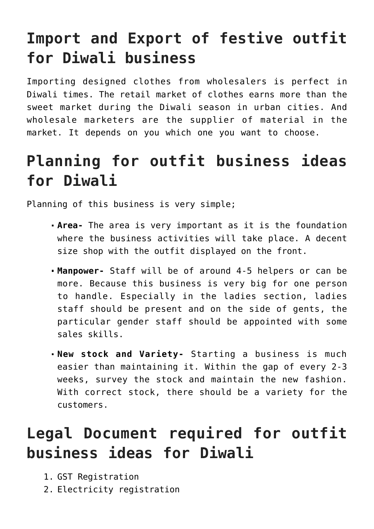## **Import and Export of festive outfit for Diwali business**

Importing designed clothes from wholesalers is perfect in Diwali times. The retail market of clothes earns more than the sweet market during the Diwali season in urban cities. And wholesale marketers are the supplier of material in the market. It depends on you which one you want to choose.

## **Planning for outfit business ideas for Diwali**

Planning of this business is very simple;

- **Area-** The area is very important as it is the foundation where the business activities will take place. A decent size shop with the outfit displayed on the front.
- **Manpower-** Staff will be of around 4-5 helpers or can be more. Because this business is very big for one person to handle. Especially in the ladies section, ladies staff should be present and on the side of gents, the particular gender staff should be appointed with some sales skills.
- **New stock and Variety-** Starting a business is much easier than maintaining it. Within the gap of every 2-3 weeks, survey the stock and maintain the new fashion. With correct stock, there should be a variety for the customers.

## **Legal Document required for outfit business ideas for Diwali**

- 1. GST Registration
- 2. Electricity registration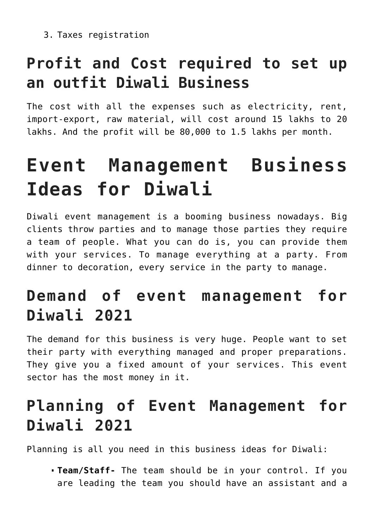3. Taxes registration

## **Profit and Cost required to set up an outfit Diwali Business**

The cost with all the expenses such as electricity, rent, import-export, raw material, will cost around 15 lakhs to 20 lakhs. And the profit will be 80,000 to 1.5 lakhs per month.

# **Event Management Business Ideas for Diwali**

Diwali event management is a booming business nowadays. Big clients throw parties and to manage those parties they require a team of people. What you can do is, you can provide them with your services. To manage everything at a party. From dinner to decoration, every service in the party to manage.

## **Demand of event management for Diwali 2021**

The demand for this business is very huge. People want to set their party with everything managed and proper preparations. They give you a fixed amount of your services. This event sector has the most money in it.

## **Planning of Event Management for Diwali 2021**

Planning is all you need in this business ideas for Diwali:

**Team/Staff-** The team should be in your control. If you are leading the team you should have an assistant and a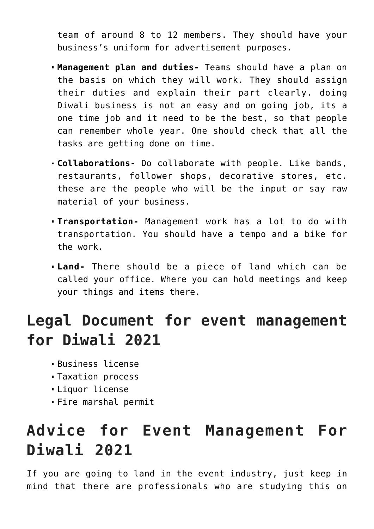team of around 8 to 12 members. They should have your business's uniform for advertisement purposes.

- **Management plan and duties-** Teams should have a plan on the basis on which they will work. They should assign their duties and explain their part clearly. doing Diwali business is not an easy and on going job, its a one time job and it need to be the best, so that people can remember whole year. One should check that all the tasks are getting done on time.
- **Collaborations-** Do collaborate with people. Like bands, restaurants, follower shops, decorative stores, etc. these are the people who will be the input or say raw material of your business.
- **Transportation-** Management work has a lot to do with transportation. You should have a tempo and a bike for the work.
- **Land-** There should be a piece of land which can be called your office. Where you can hold meetings and keep your things and items there.

#### **Legal Document for event management for Diwali 2021**

- Business license
- Taxation process
- Liquor license
- Fire marshal permit

## **Advice for Event Management For Diwali 2021**

If you are going to land in the event industry, just keep in mind that there are professionals who are studying this on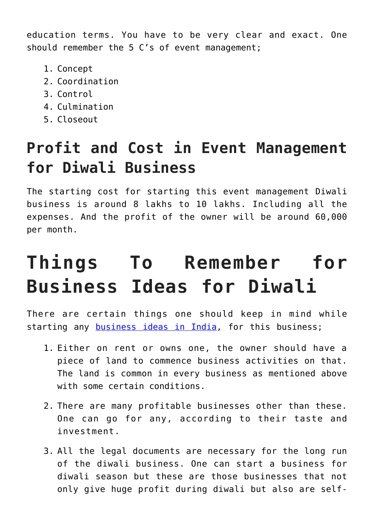education terms. You have to be very clear and exact. One should remember the 5 C's of event management;

- 1. Concept
- 2. Coordination
- 3. Control
- 4. Culmination
- 5. Closeout

## **Profit and Cost in Event Management for Diwali Business**

The starting cost for starting this event management Diwali business is around 8 lakhs to 10 lakhs. Including all the expenses. And the profit of the owner will be around 60,000 per month.

# **Things To Remember for Business Ideas for Diwali**

There are certain things one should keep in mind while starting any [business ideas in India](https://inbusinessideas.com/business-ideas-in-2022/), for this business;

- 1. Either on rent or owns one, the owner should have a piece of land to commence business activities on that. The land is common in every business as mentioned above with some certain conditions.
- 2. There are many profitable businesses other than these. One can go for any, according to their taste and investment.
- 3. All the legal documents are necessary for the long run of the diwali business. One can start a business for diwali season but these are those businesses that not only give huge profit during diwali but also are self-